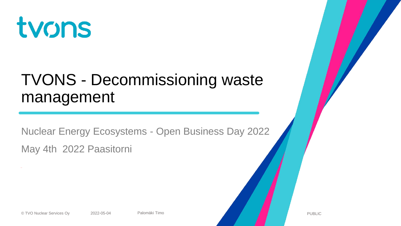

#### TVONS - Decommissioning waste management

Nuclear Energy Ecosystems - Open Business Day 2022 May 4th 2022 Paasitorni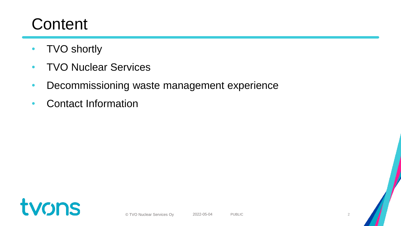## **Content**

- **TVO shortly**
- TVO Nuclear Services
- Decommissioning waste management experience
- Contact Information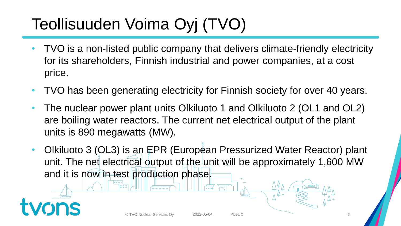# Teollisuuden Voima Oyj (TVO)

- TVO is a non-listed public company that delivers climate-friendly electricity for its shareholders, Finnish industrial and power companies, at a cost price.
- TVO has been generating electricity for Finnish society for over 40 years.
- The nuclear power plant units Olkiluoto 1 and Olkiluoto 2 (OL1 and OL2) are boiling water reactors. The current net electrical output of the plant units is 890 megawatts (MW).
- Olkiluoto 3 (OL3) is an EPR (European Pressurized Water Reactor) plant unit. The net electrical output of the unit will be approximately 1,600 MW and it is now in test production phase.

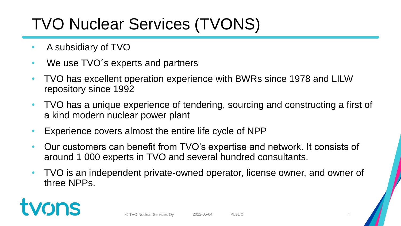# TVO Nuclear Services (TVONS)

- A subsidiary of TVO
- We use TVO's experts and partners
- TVO has excellent operation experience with BWRs since 1978 and LILW repository since 1992
- TVO has a unique experience of tendering, sourcing and constructing a first of a kind modern nuclear power plant
- Experience covers almost the entire life cycle of NPP
- Our customers can benefit from TVO's expertise and network. It consists of around 1 000 experts in TVO and several hundred consultants.
- TVO is an independent private-owned operator, license owner, and owner of three NPPs.

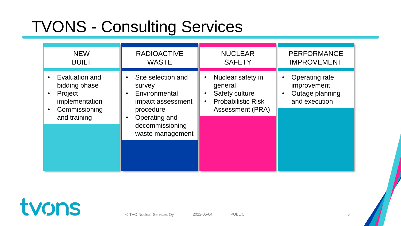# TVONS - Consulting Services

| <b>NEW</b>                                                                                                                           | <b>RADIOACTIVE</b>                                                                                                                                   | <b>NUCLEAR</b>                                                                                  | <b>PERFORMANCE</b>                                                |
|--------------------------------------------------------------------------------------------------------------------------------------|------------------------------------------------------------------------------------------------------------------------------------------------------|-------------------------------------------------------------------------------------------------|-------------------------------------------------------------------|
| <b>BUILT</b>                                                                                                                         | <b>WASTE</b>                                                                                                                                         | <b>SAFETY</b>                                                                                   | <b>IMPROVEMENT</b>                                                |
| Evaluation and<br>$\bullet$<br>bidding phase<br>Project<br>$\bullet$<br>implementation<br>Commissioning<br>$\bullet$<br>and training | Site selection and<br>survey<br>Environmental<br>$\bullet$<br>impact assessment<br>procedure<br>Operating and<br>decommissioning<br>waste management | Nuclear safety in<br>general<br>Safety culture<br><b>Probabilistic Risk</b><br>Assessment (PRA) | Operating rate<br>improvement<br>Outage planning<br>and execution |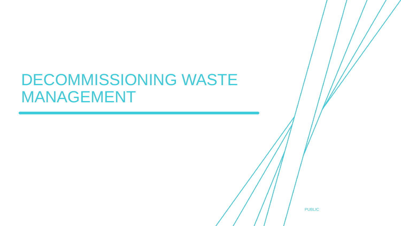#### DECOMMISSIONING WASTE MANAGEMENT

PUBLIC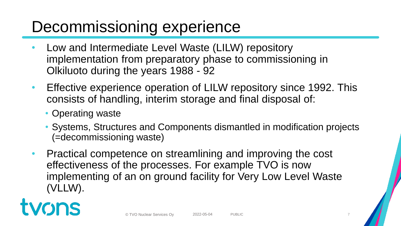### Decommissioning experience

- Low and Intermediate Level Waste (LILW) repository implementation from preparatory phase to commissioning in Olkiluoto during the years 1988 - 92
- Effective experience operation of LILW repository since 1992. This consists of handling, interim storage and final disposal of:
	- Operating waste
	- Systems, Structures and Components dismantled in modification projects (=decommissioning waste)
- Practical competence on streamlining and improving the cost effectiveness of the processes. For example TVO is now implementing of an on ground facility for Very Low Level Waste (VLLW).

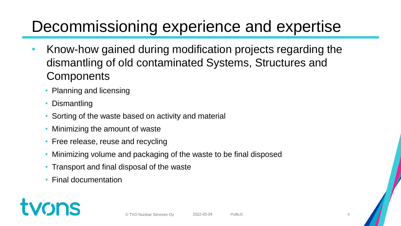### Decommissioning experience and expertise

- Know-how gained during modification projects regarding the dismantling of old contaminated Systems, Structures and **Components** 
	- Planning and licensing
	- Dismantling
	- Sorting of the waste based on activity and material
	- Minimizing the amount of waste
	- Free release, reuse and recycling
	- Minimizing volume and packaging of the waste to be final disposed
	- Transport and final disposal of the waste
	- Final documentation

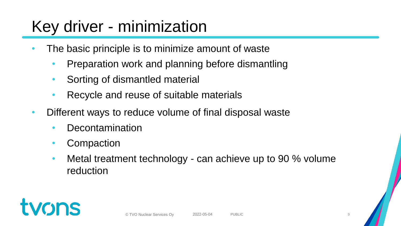# Key driver - minimization

- The basic principle is to minimize amount of waste
	- Preparation work and planning before dismantling
	- Sorting of dismantled material
	- Recycle and reuse of suitable materials
- Different ways to reduce volume of final disposal waste
	- **Decontamination**
	- **Compaction**
	- Metal treatment technology can achieve up to 90 % volume reduction

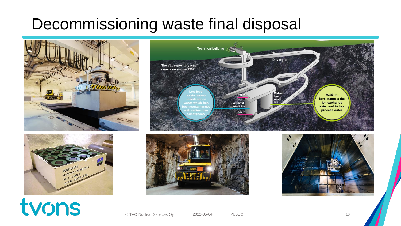### Decommissioning waste final disposal











# tvons

© TVO Nuclear Services Oy 2022-05-04 PUBLIC 10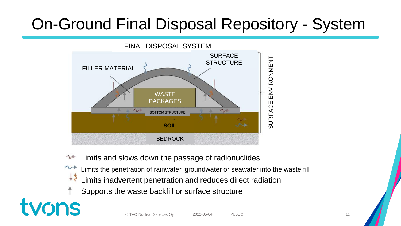# On-Ground Final Disposal Repository - System



- Limits and slows down the passage of radionuclides
- Limits the penetration of rainwater, groundwater or seawater into the waste fill
- $+5$ Limits inadvertent penetration and reduces direct radiation
- Supports the waste backfill or surface structure

tvons

© TVO Nuclear Services Ov  $2022-05-04$  PUBLIC 2002 PUBLIC 2002 PUBLIC 2022-05-04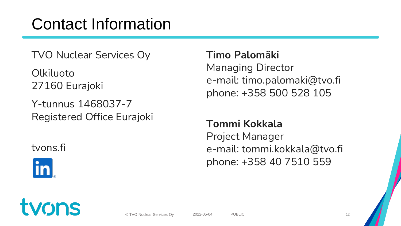## Contact Information

TVO Nuclear Services Oy

Olkiluoto 27160 Eurajoki

Y-tunnus 1468037-7 Registered Office Eurajoki

#### tvons.fi



#### **Timo Palomäki**

Managing Director e-mail: timo.palomaki@tvo.fi phone: +358 500 528 105

#### **Tommi Kokkala**

Project Manager e-mail: tommi.kokkala@tvo.fi phone: +358 40 7510 559